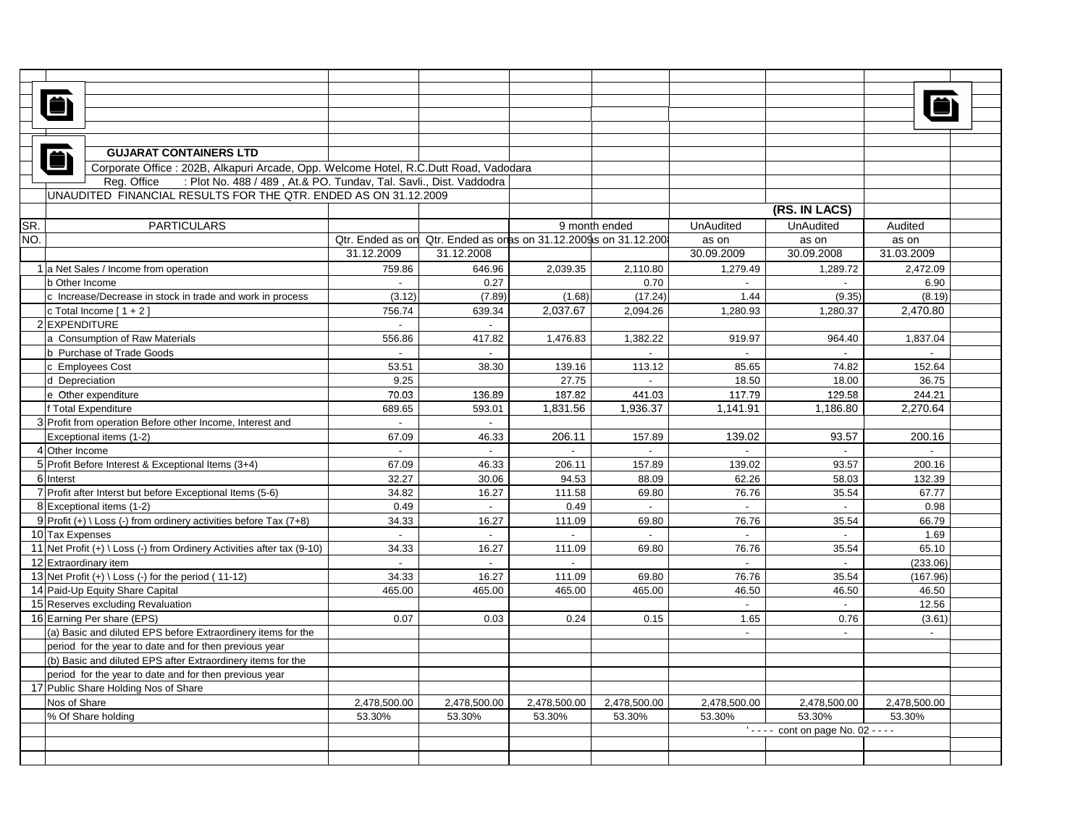|     | <b>GUJARAT CONTAINERS LTD</b>                                                         |                             |                                                                  |              |                     |                                                   |                  |              |  |
|-----|---------------------------------------------------------------------------------------|-----------------------------|------------------------------------------------------------------|--------------|---------------------|---------------------------------------------------|------------------|--------------|--|
|     | Corporate Office : 202B, Alkapuri Arcade, Opp. Welcome Hotel, R.C.Dutt Road, Vadodara |                             |                                                                  |              |                     |                                                   |                  |              |  |
|     | Reg. Office<br>: Plot No. 488 / 489, At.& PO. Tundav, Tal. Savli., Dist. Vaddodra     |                             |                                                                  |              |                     |                                                   |                  |              |  |
|     | UNAUDITED FINANCIAL RESULTS FOR THE QTR. ENDED AS ON 31.12.2009                       |                             |                                                                  |              |                     |                                                   |                  |              |  |
|     |                                                                                       |                             |                                                                  |              |                     |                                                   | (RS. IN LACS)    |              |  |
| SR. | <b>PARTICULARS</b>                                                                    |                             |                                                                  |              | 9 month ended       | <b>UnAudited</b>                                  | <b>UnAudited</b> | Audited      |  |
| NO. |                                                                                       |                             | Qtr. Ended as on Qtr. Ended as onas on 31.12.2009 s on 31.12.200 |              |                     | as on                                             | as on            | as on        |  |
|     |                                                                                       | 31.12.2009                  | 31.12.2008                                                       |              |                     | 30.09.2009                                        | 30.09.2008       | 31.03.2009   |  |
|     | 1 a Net Sales / Income from operation                                                 | 759.86                      | 646.96                                                           | 2,039.35     | 2,110.80            | 1,279.49                                          | 1,289.72         | 2,472.09     |  |
|     | b Other Income                                                                        | $\sim$                      | 0.27                                                             |              | 0.70                | $\sim$                                            | $\sim$           | 6.90         |  |
|     | c Increase/Decrease in stock in trade and work in process                             | (3.12)                      | (7.89)                                                           | (1.68)       | (17.24)             | 1.44                                              | (9.35)           | (8.19)       |  |
|     | c Total Income $[1 + 2]$                                                              | 756.74                      | 639.34                                                           | 2.037.67     | 2.094.26            | 1.280.93                                          | 1.280.37         | 2.470.80     |  |
|     | 2 EXPENDITURE                                                                         | $\mathcal{L}_{\mathcal{A}}$ | $\sim$                                                           |              |                     |                                                   |                  |              |  |
|     | a Consumption of Raw Materials                                                        | 556.86                      | 417.82                                                           | 1,476.83     | 1,382.22            | 919.97                                            | 964.40           | 1,837.04     |  |
|     |                                                                                       | $\mathbb{L}^{\mathbb{N}}$   | $\sim$                                                           |              |                     | $\sim$                                            | $\sim$           | $\sim$       |  |
|     | b Purchase of Trade Goods                                                             |                             |                                                                  |              |                     |                                                   |                  |              |  |
|     | c Employees Cost                                                                      | 53.51                       | 38.30                                                            | 139.16       | 113.12              | 85.65                                             | 74.82            | 152.64       |  |
|     | d Depreciation                                                                        | 9.25                        |                                                                  | 27.75        | $\mathcal{L}^{\pm}$ | 18.50                                             | 18.00            | 36.75        |  |
|     | e Other expenditure                                                                   | 70.03                       | 136.89                                                           | 187.82       | 441.03              | 117.79                                            | 129.58           | 244.21       |  |
|     | f Total Expenditure                                                                   | 689.65                      | 593.01                                                           | 1,831.56     | 1,936.37            | 1,141.91                                          | 1,186.80         | 2,270.64     |  |
|     | 3 Profit from operation Before other Income, Interest and                             | $\sim$                      | $\sim$                                                           |              |                     |                                                   |                  |              |  |
|     | Exceptional items (1-2)                                                               | 67.09                       | 46.33                                                            | 206.11       | 157.89              | 139.02                                            | 93.57            | 200.16       |  |
|     | 4 Other Income                                                                        | $\sim$                      | $\sim$                                                           | $\sim$       | $\sim$              | $\sim$                                            | $\overline{a}$   | $\sim$       |  |
|     | 5 Profit Before Interest & Exceptional Items (3+4)                                    | 67.09                       | 46.33                                                            | 206.11       | 157.89              | 139.02                                            | 93.57            | 200.16       |  |
|     | 6 Interst                                                                             | 32.27                       | 30.06                                                            | 94.53        | 88.09               | 62.26                                             | 58.03            | 132.39       |  |
|     | 7 Profit after Interst but before Exceptional Items (5-6)                             | 34.82                       | 16.27                                                            | 111.58       | 69.80               | 76.76                                             | 35.54            | 67.77        |  |
|     | 8 Exceptional items (1-2)                                                             | 0.49                        | $\sim$                                                           | 0.49         | $\sim$              | $\sim$                                            | $\sim$           | 0.98         |  |
|     | 9 Profit (+) \ Loss (-) from ordinery activities before Tax $(7+8)$                   | 34.33                       | 16.27                                                            | 111.09       | 69.80               | 76.76                                             | 35.54            | 66.79        |  |
|     | 10 Tax Expenses                                                                       | $\sim$                      | $\sim$                                                           | $\sim$       | $\sim$              | $\sim$                                            | $\overline{a}$   | 1.69         |  |
|     | 11 Net Profit (+) \ Loss (-) from Ordinery Activities after tax (9-10)                | 34.33                       | 16.27                                                            | 111.09       | 69.80               | 76.76                                             | 35.54            | 65.10        |  |
|     | 12 Extraordinary item                                                                 | $\overline{\phantom{a}}$    | $\sim$                                                           | $\sim$       |                     | $\sim$                                            | $\overline{a}$   | (233.06)     |  |
|     | 13 Net Profit $(+) \setminus$ Loss $(-)$ for the period $(11-12)$                     | 34.33                       | 16.27                                                            | 111.09       | 69.80               | 76.76                                             | 35.54            | (167.96)     |  |
|     | 14 Paid-Up Equity Share Capital                                                       | 465.00                      | 465.00                                                           | 465.00       | 465.00              | 46.50                                             | 46.50            | 46.50        |  |
|     | 15 Reserves excluding Revaluation                                                     |                             |                                                                  |              |                     | $\sim$                                            | $\sim$           | 12.56        |  |
|     | 16 Earning Per share (EPS)                                                            | 0.07                        | 0.03                                                             | 0.24         | 0.15                | 1.65                                              | 0.76             | (3.61)       |  |
|     | (a) Basic and diluted EPS before Extraordinery items for the                          |                             |                                                                  |              |                     | $\sim$                                            | $\sim$           | $\sim$       |  |
|     | period for the year to date and for then previous year                                |                             |                                                                  |              |                     |                                                   |                  |              |  |
|     | (b) Basic and diluted EPS after Extraordinery items for the                           |                             |                                                                  |              |                     |                                                   |                  |              |  |
|     | period for the year to date and for then previous year                                |                             |                                                                  |              |                     |                                                   |                  |              |  |
|     | 17 Public Share Holding Nos of Share                                                  |                             |                                                                  |              |                     |                                                   |                  |              |  |
|     | Nos of Share                                                                          | 2,478,500.00                | 2,478,500.00                                                     | 2,478,500.00 | 2,478,500.00        | 2,478,500.00                                      | 2,478,500.00     | 2,478,500.00 |  |
|     | % Of Share holding                                                                    | 53.30%                      | 53.30%                                                           | 53.30%       | 53.30%              | 53.30%                                            | 53.30%           | 53.30%       |  |
|     |                                                                                       |                             |                                                                  |              |                     | $' \cdot \cdot \cdot$ cont on page No. 02 - - - - |                  |              |  |
|     |                                                                                       |                             |                                                                  |              |                     |                                                   |                  |              |  |
|     |                                                                                       |                             |                                                                  |              |                     |                                                   |                  |              |  |
|     |                                                                                       |                             |                                                                  |              |                     |                                                   |                  |              |  |